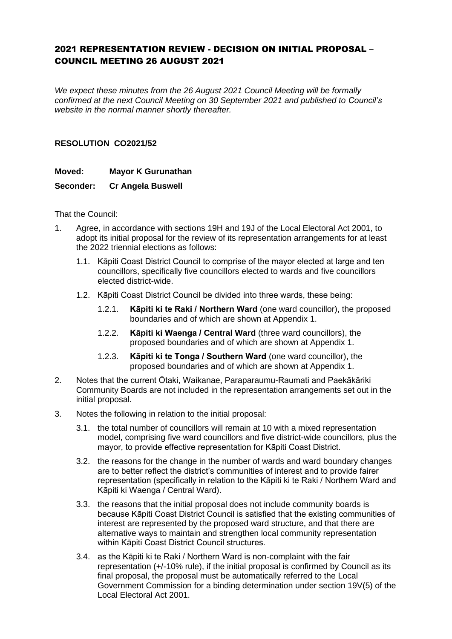## 2021 REPRESENTATION REVIEW - DECISION ON INITIAL PROPOSAL – COUNCIL MEETING 26 AUGUST 2021

*We expect these minutes from the 26 August 2021 Council Meeting will be formally confirmed at the next Council Meeting on 30 September 2021 and published to Council's website in the normal manner shortly thereafter.*

## **RESOLUTION CO2021/52**

## **Moved: Mayor K Gurunathan**

## **Seconder: Cr Angela Buswell**

That the Council:

- 1. Agree, in accordance with sections 19H and 19J of the Local Electoral Act 2001, to adopt its initial proposal for the review of its representation arrangements for at least the 2022 triennial elections as follows:
	- 1.1. Kāpiti Coast District Council to comprise of the mayor elected at large and ten councillors, specifically five councillors elected to wards and five councillors elected district-wide.
	- 1.2. Kāpiti Coast District Council be divided into three wards, these being:
		- 1.2.1. **Kāpiti ki te Raki / Northern Ward** (one ward councillor), the proposed boundaries and of which are shown at Appendix 1.
		- 1.2.2. **Kāpiti ki Waenga / Central Ward** (three ward councillors), the proposed boundaries and of which are shown at Appendix 1.
		- 1.2.3. **Kāpiti ki te Tonga / Southern Ward** (one ward councillor), the proposed boundaries and of which are shown at Appendix 1.
- 2. Notes that the current Ōtaki, Waikanae, Paraparaumu-Raumati and Paekākāriki Community Boards are not included in the representation arrangements set out in the initial proposal.
- 3. Notes the following in relation to the initial proposal:
	- 3.1. the total number of councillors will remain at 10 with a mixed representation model, comprising five ward councillors and five district-wide councillors, plus the mayor, to provide effective representation for Kāpiti Coast District.
	- 3.2. the reasons for the change in the number of wards and ward boundary changes are to better reflect the district's communities of interest and to provide fairer representation (specifically in relation to the Kāpiti ki te Raki / Northern Ward and Kāpiti ki Waenga / Central Ward).
	- 3.3. the reasons that the initial proposal does not include community boards is because Kāpiti Coast District Council is satisfied that the existing communities of interest are represented by the proposed ward structure, and that there are alternative ways to maintain and strengthen local community representation within Kāpiti Coast District Council structures.
	- 3.4. as the Kāpiti ki te Raki / Northern Ward is non-complaint with the fair representation (+/-10% rule), if the initial proposal is confirmed by Council as its final proposal, the proposal must be automatically referred to the Local Government Commission for a binding determination under section 19V(5) of the Local Electoral Act 2001.